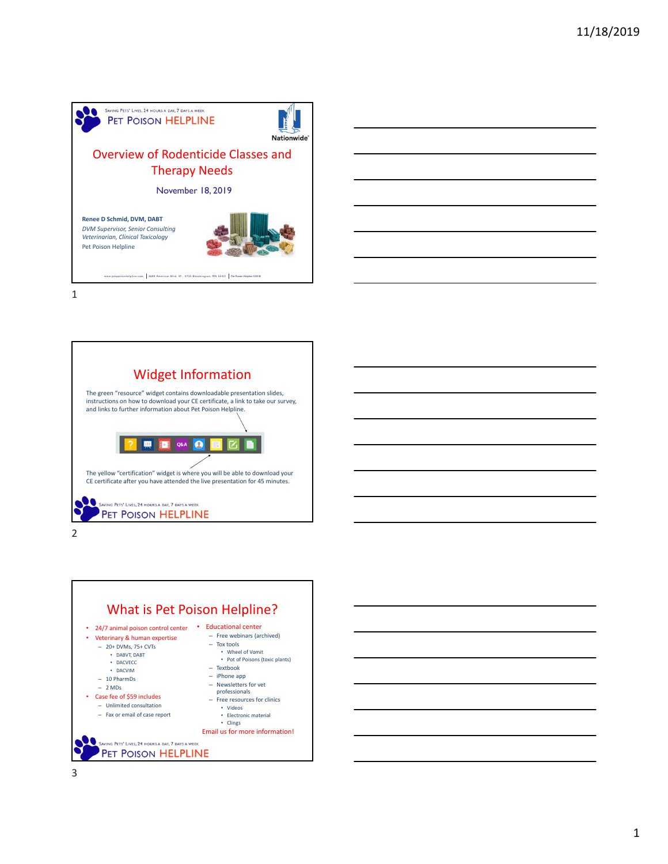



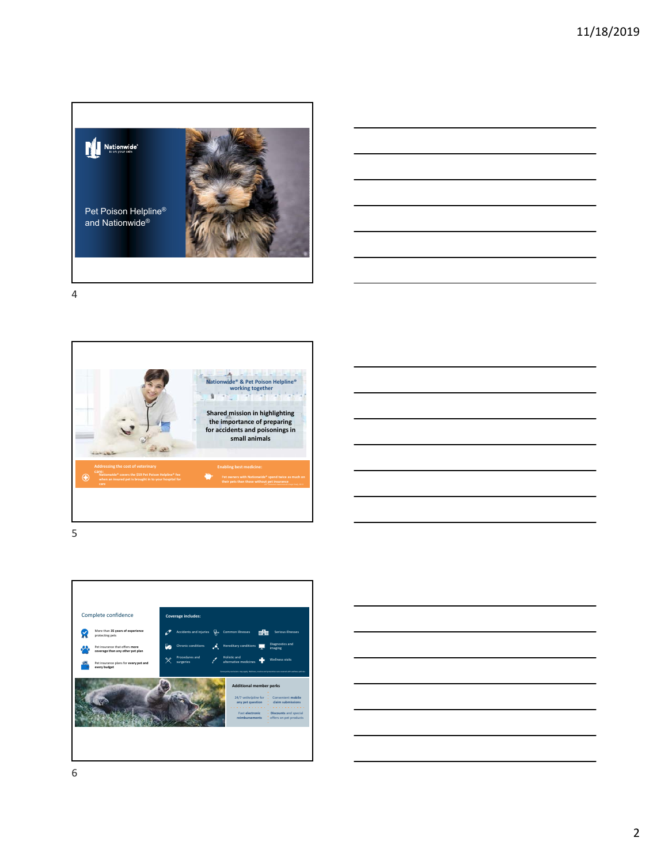









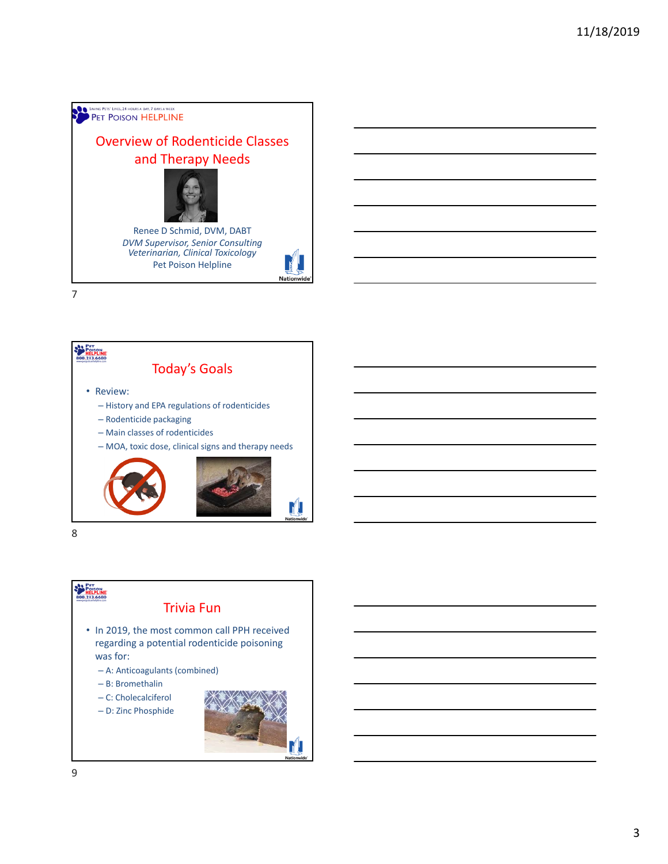## **SAVING PETS' LIVES, 24 HOURS A DAY, 7 DAYS A WEEK** Overview of Rodenticide Classes and Therapy Needs Renee D Schmid, DVM, DABT *DVM Supervisor, Senior Consulting Veterinarian, Clinical Toxicology* Pet Poison Helpline **Nation**

7



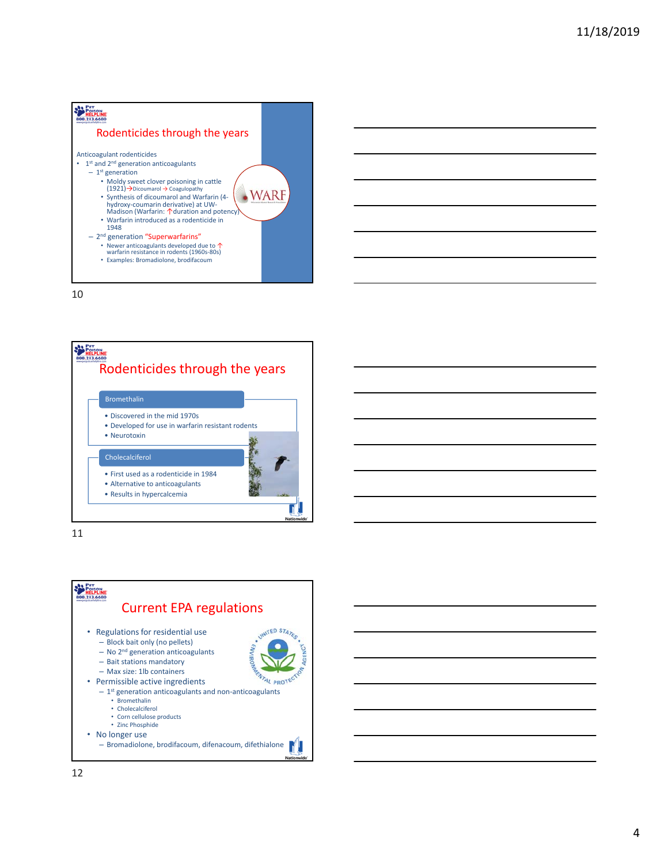



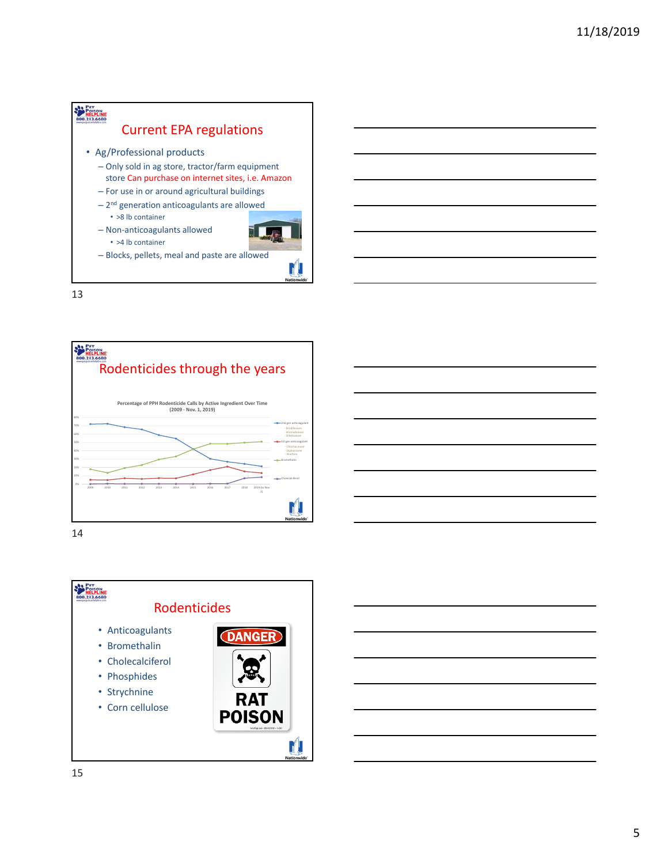





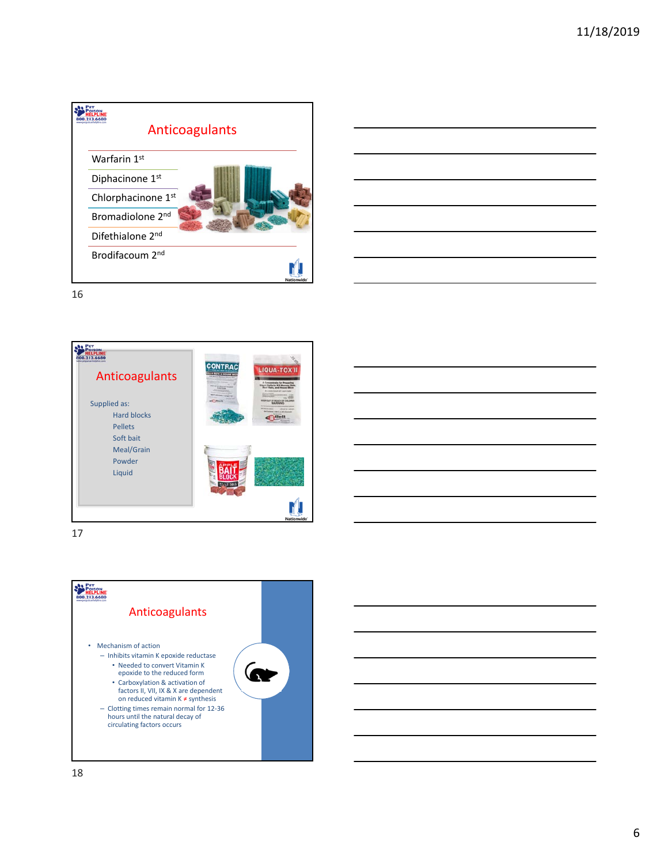| ww.netopisorbeigine.com      | Anticoagulants    |
|------------------------------|-------------------|
| Warfarin 1st                 |                   |
| Diphacinone 1st              |                   |
| Chlorphacinone 1st           |                   |
| Bromadiolone 2 <sup>nd</sup> |                   |
| Difethialone 2nd             |                   |
| Brodifacoum 2 <sup>nd</sup>  |                   |
|                              | <b>Nationwide</b> |

| ____                     |
|--------------------------|
|                          |
|                          |
|                          |
|                          |
|                          |
|                          |
|                          |
|                          |
|                          |
|                          |
|                          |
| $\overline{\phantom{a}}$ |
|                          |
|                          |
|                          |
| __                       |
|                          |
|                          |
|                          |



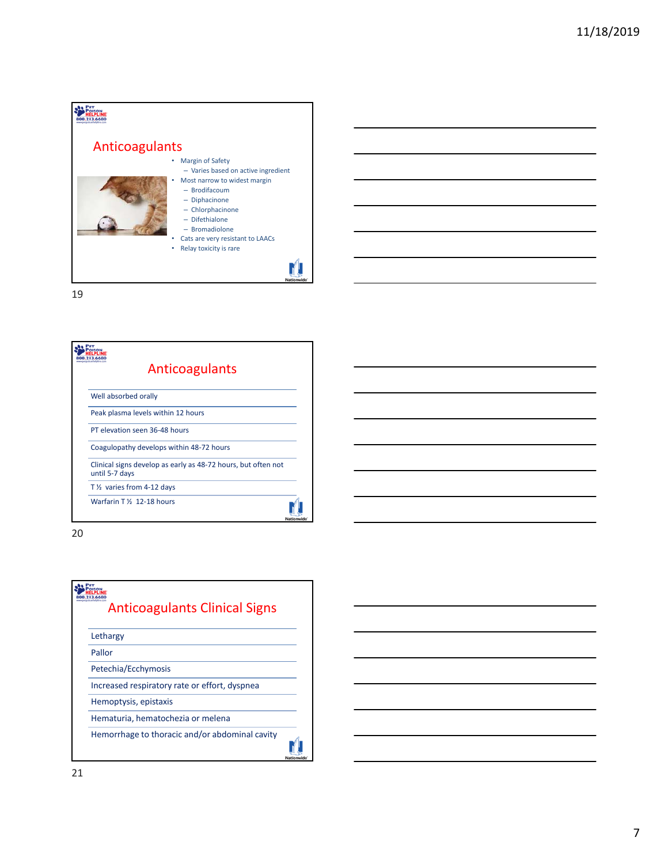

| Anticoagulants                                                                  |            |
|---------------------------------------------------------------------------------|------------|
| Well absorbed orally                                                            |            |
| Peak plasma levels within 12 hours                                              |            |
| PT elevation seen 36-48 hours                                                   |            |
| Coagulopathy develops within 48-72 hours                                        |            |
| Clinical signs develop as early as 48-72 hours, but often not<br>until 5-7 days |            |
| T <sub>1/2</sub> varies from 4-12 days                                          |            |
| Warfarin T <sub>16</sub> 12-18 hours                                            | Nationwide |

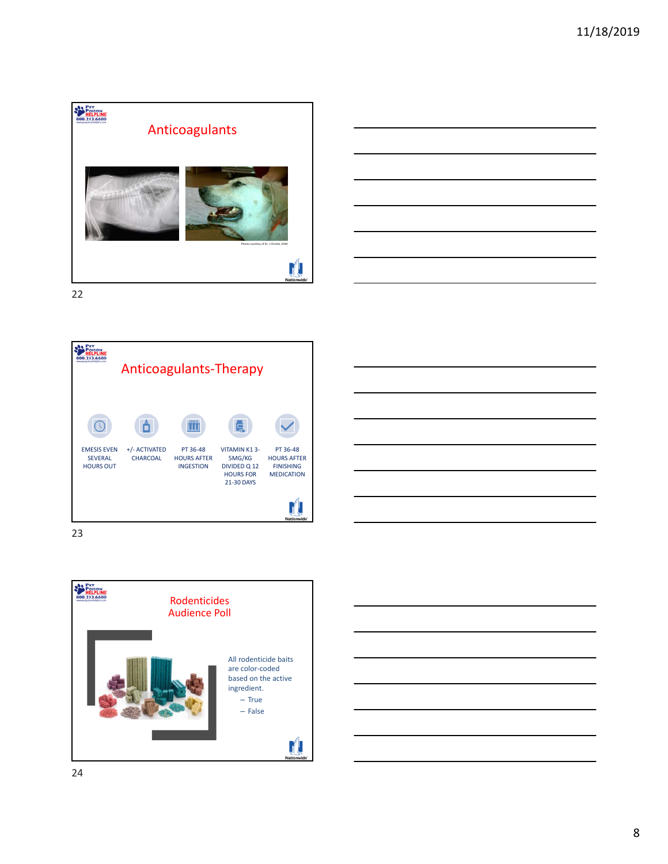





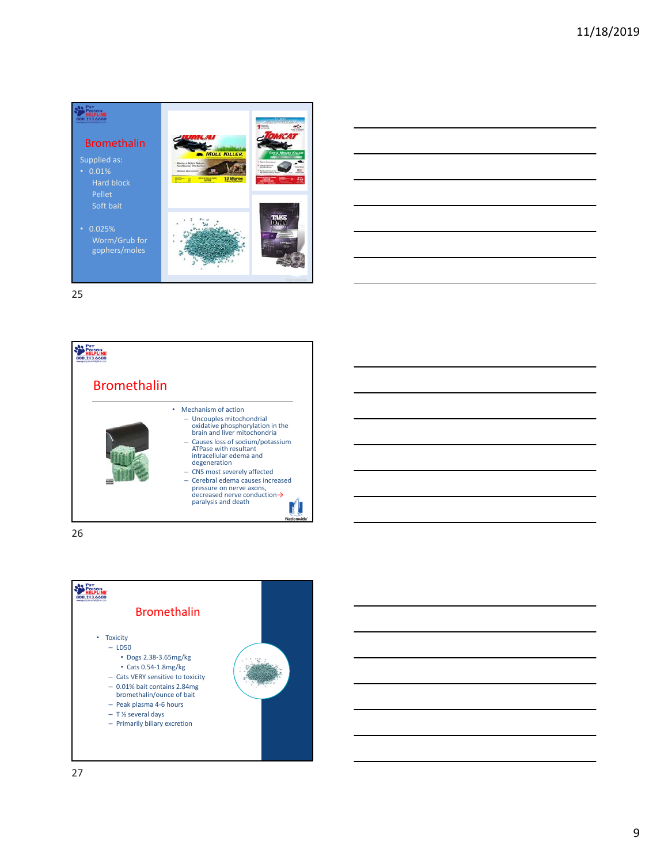





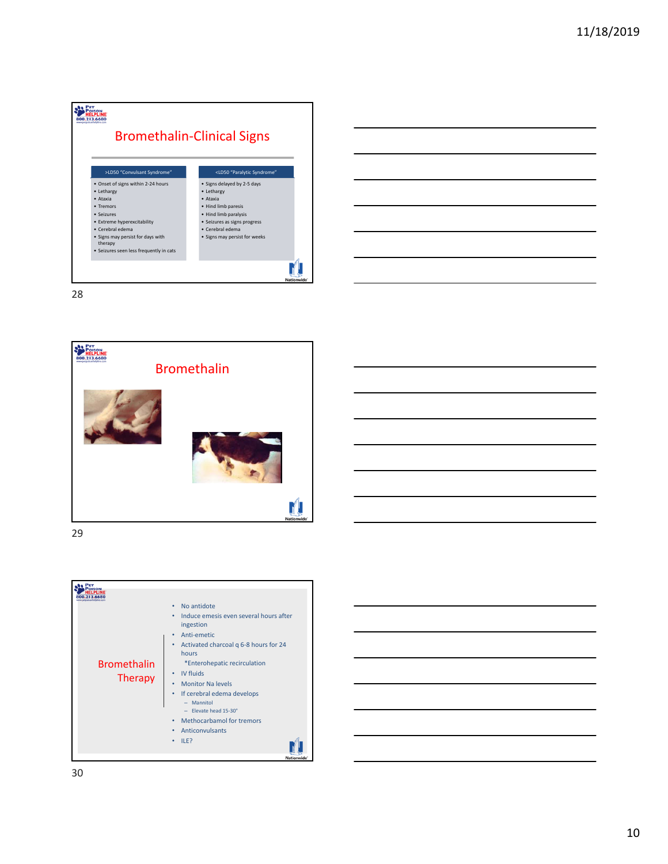









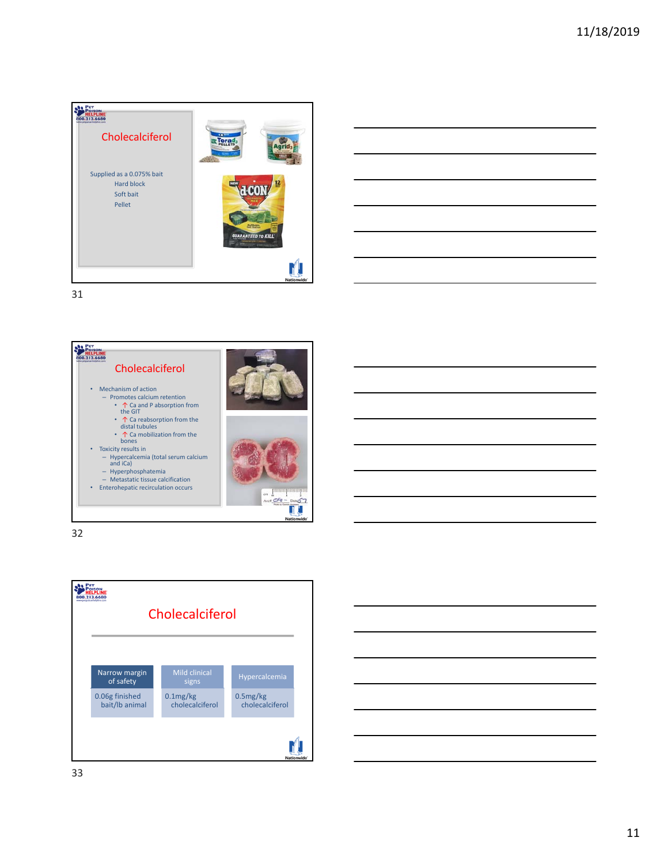







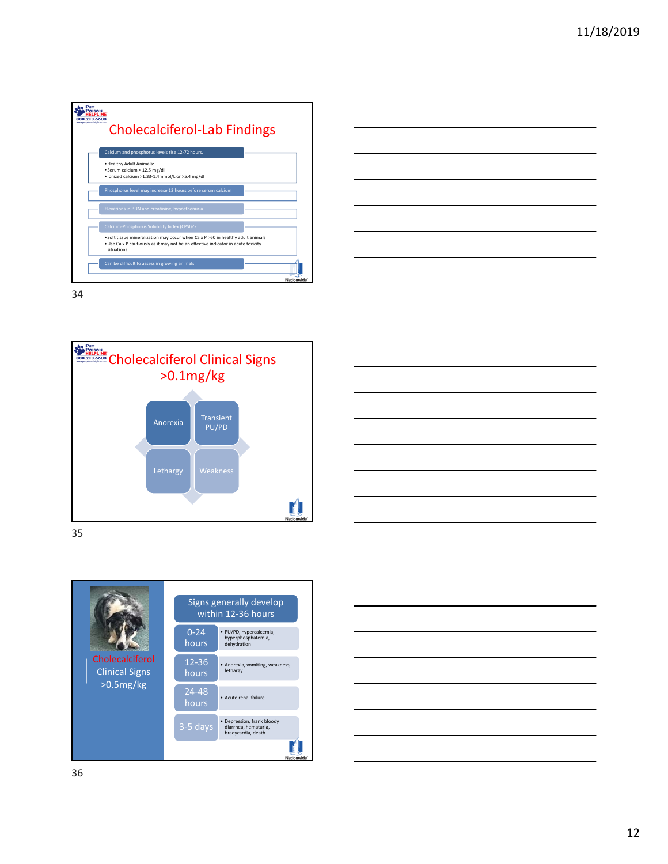









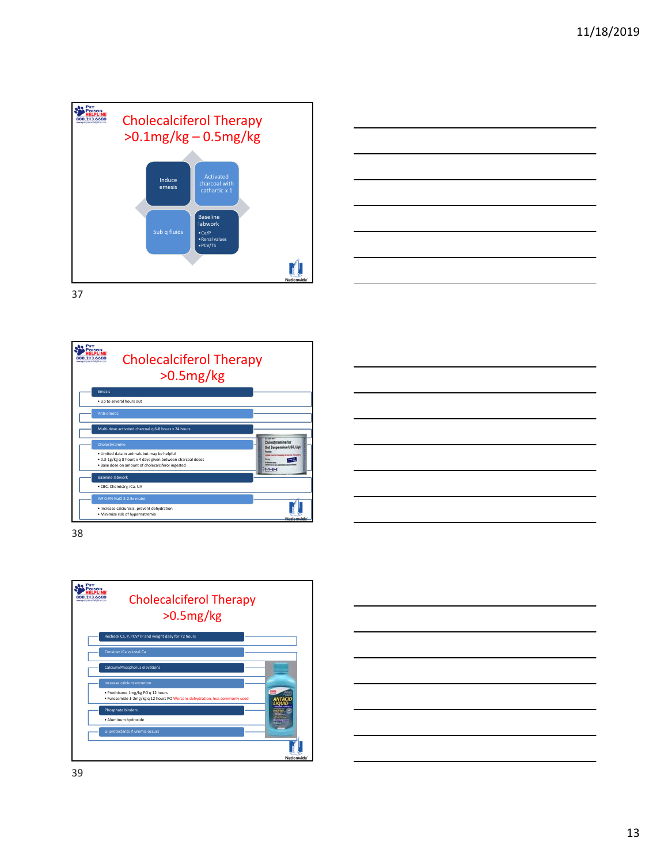







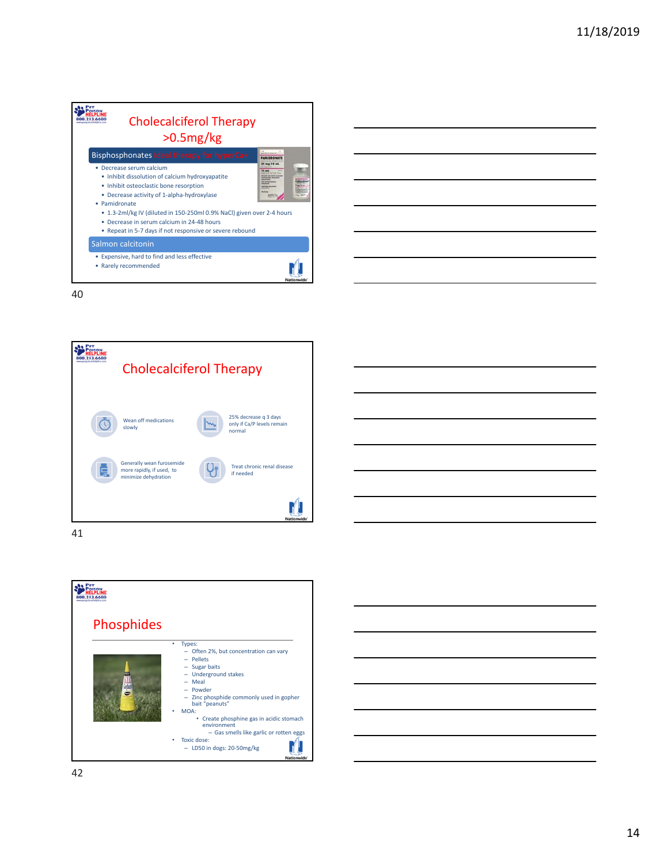







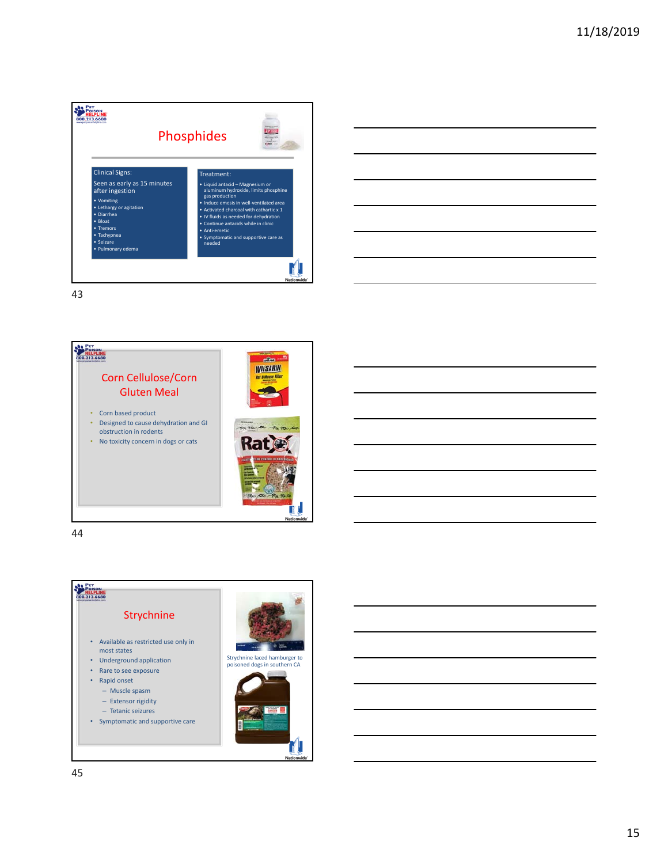





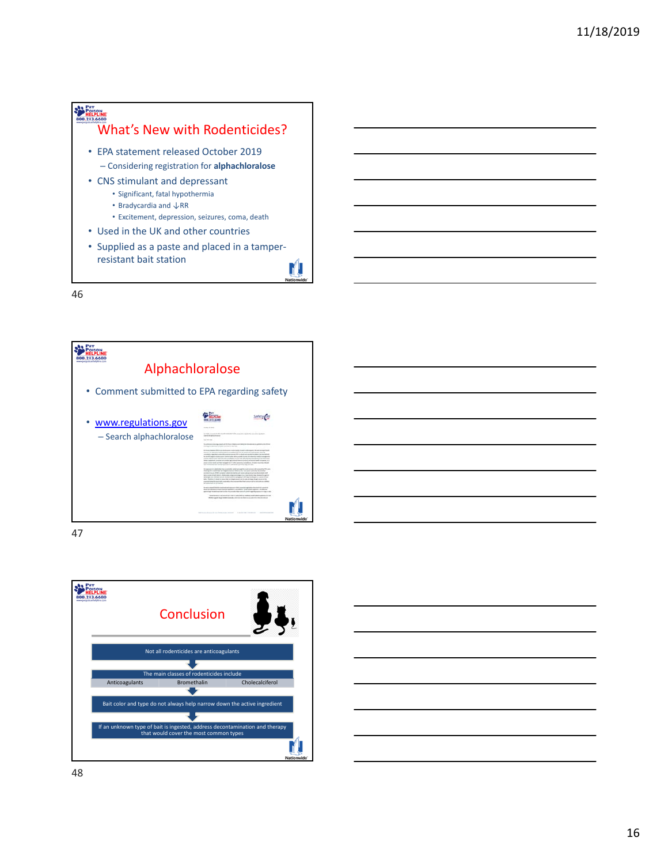



47



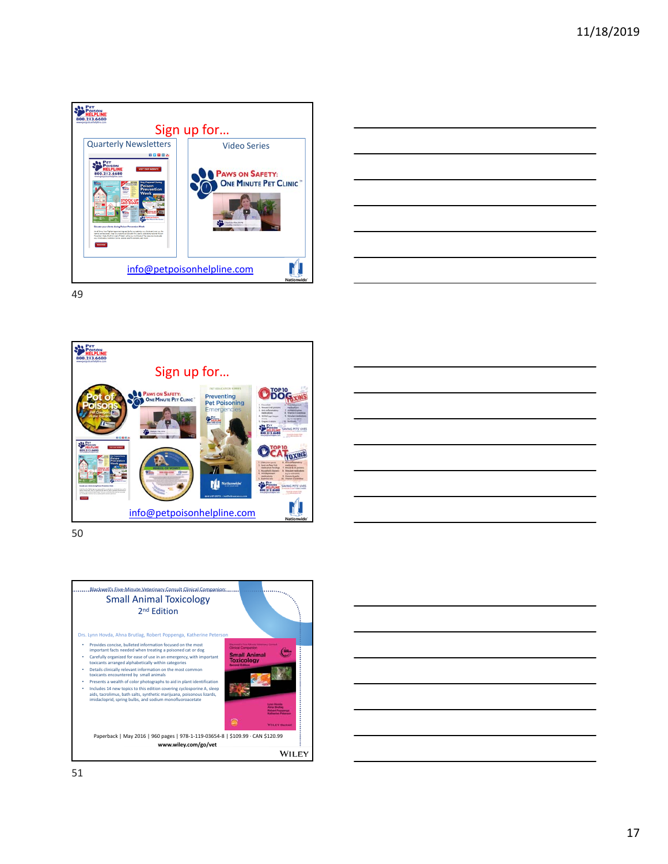